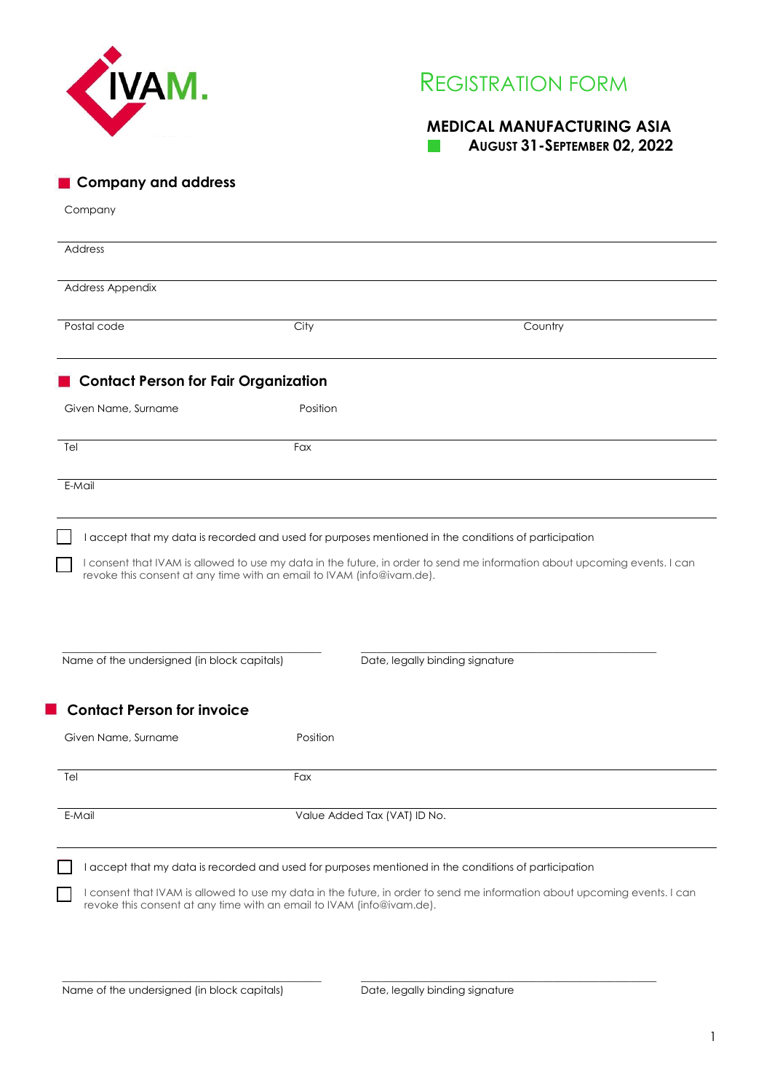

# REGISTRATION FORM

### **MEDICAL MANUFACTURING ASIA**

| AUGUST 31-SEPTEMBER 02, 2022 |  |  |
|------------------------------|--|--|
|------------------------------|--|--|

| <b>Company and address</b>                                                                                               |                                                                                                      |                                                                                                                           |
|--------------------------------------------------------------------------------------------------------------------------|------------------------------------------------------------------------------------------------------|---------------------------------------------------------------------------------------------------------------------------|
| Company                                                                                                                  |                                                                                                      |                                                                                                                           |
| Address                                                                                                                  |                                                                                                      |                                                                                                                           |
| Address Appendix                                                                                                         |                                                                                                      |                                                                                                                           |
| Postal code                                                                                                              | City                                                                                                 | Country                                                                                                                   |
| <b>Contact Person for Fair Organization</b>                                                                              |                                                                                                      |                                                                                                                           |
| Given Name, Surname                                                                                                      | Position                                                                                             |                                                                                                                           |
| Tel                                                                                                                      | Fax                                                                                                  |                                                                                                                           |
| E-Mail                                                                                                                   |                                                                                                      |                                                                                                                           |
|                                                                                                                          |                                                                                                      |                                                                                                                           |
|                                                                                                                          | revoke this consent at any time with an email to IVAM (info@ivam.de).                                | I consent that IVAM is allowed to use my data in the future, in order to send me information about upcoming events. I can |
|                                                                                                                          |                                                                                                      | Date, legally binding signature                                                                                           |
|                                                                                                                          | Position                                                                                             |                                                                                                                           |
|                                                                                                                          |                                                                                                      |                                                                                                                           |
|                                                                                                                          | Fax                                                                                                  |                                                                                                                           |
| Name of the undersigned (in block capitals)<br><b>Contact Person for invoice</b><br>Given Name, Surname<br>Tel<br>E-Mail | Value Added Tax (VAT) ID No.                                                                         |                                                                                                                           |
|                                                                                                                          | I accept that my data is recorded and used for purposes mentioned in the conditions of participation |                                                                                                                           |
|                                                                                                                          | revoke this consent at any time with an email to IVAM (info@ivam.de).                                | I consent that IVAM is allowed to use my data in the future, in order to send me information about upcoming events. I can |

\_\_\_\_\_\_\_\_\_\_\_\_\_\_\_\_\_\_\_\_\_\_\_\_\_\_\_\_\_\_\_\_\_\_\_\_\_\_\_\_\_\_\_\_\_\_\_\_\_\_

\_\_\_\_\_\_\_\_\_\_\_\_\_\_\_\_\_\_\_\_\_\_\_\_\_\_\_\_\_\_\_\_\_\_\_\_\_\_\_\_\_\_\_\_\_\_\_\_\_\_\_\_\_\_\_\_\_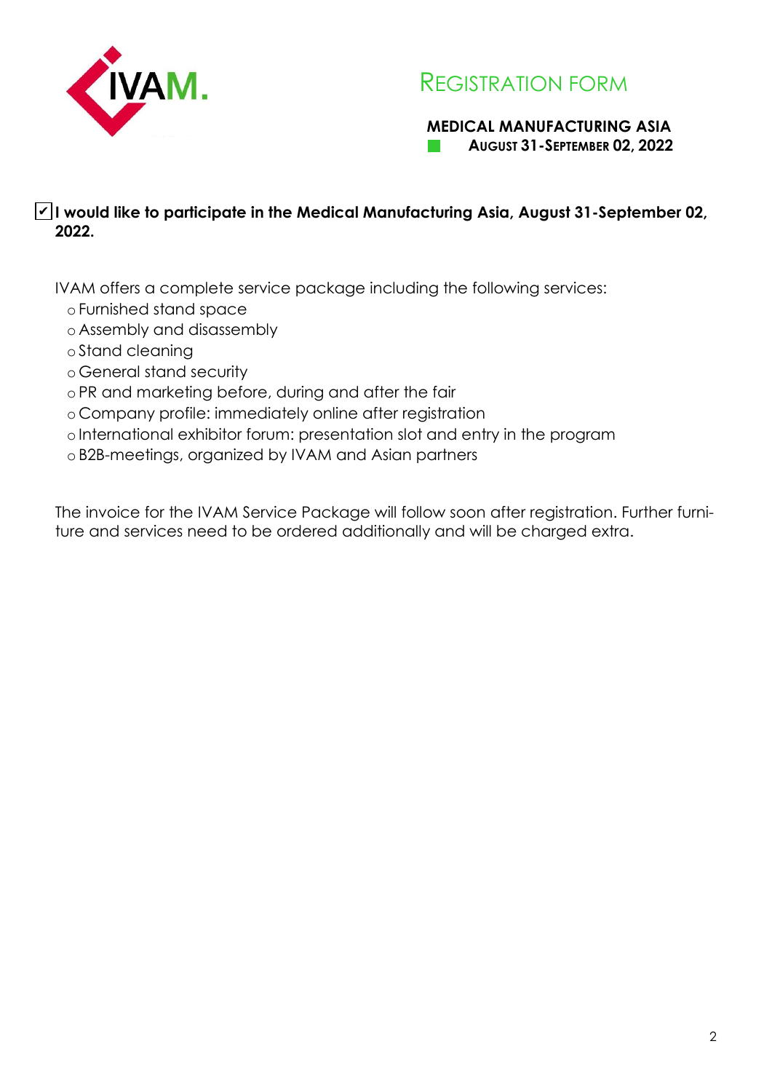

## REGISTRATION FORM

### **MEDICAL MANUFACTURING ASIA AUGUST 31-SEPTEMBER 02, 2022**

### **I would like to participate in the Medical Manufacturing Asia, August 31-September 02,**  ✔**2022.**

IVAM offers a complete service package including the following services:

- o Furnished stand space
- o Assembly and disassembly
- o Stand cleaning
- o General stand security
- o PR and marketing before, during and after the fair
- o Company profile: immediately online after registration
- o International exhibitor forum: presentation slot and entry in the program
- o B2B-meetings, organized by IVAM and Asian partners

The invoice for the IVAM Service Package will follow soon after registration. Further furniture and services need to be ordered additionally and will be charged extra.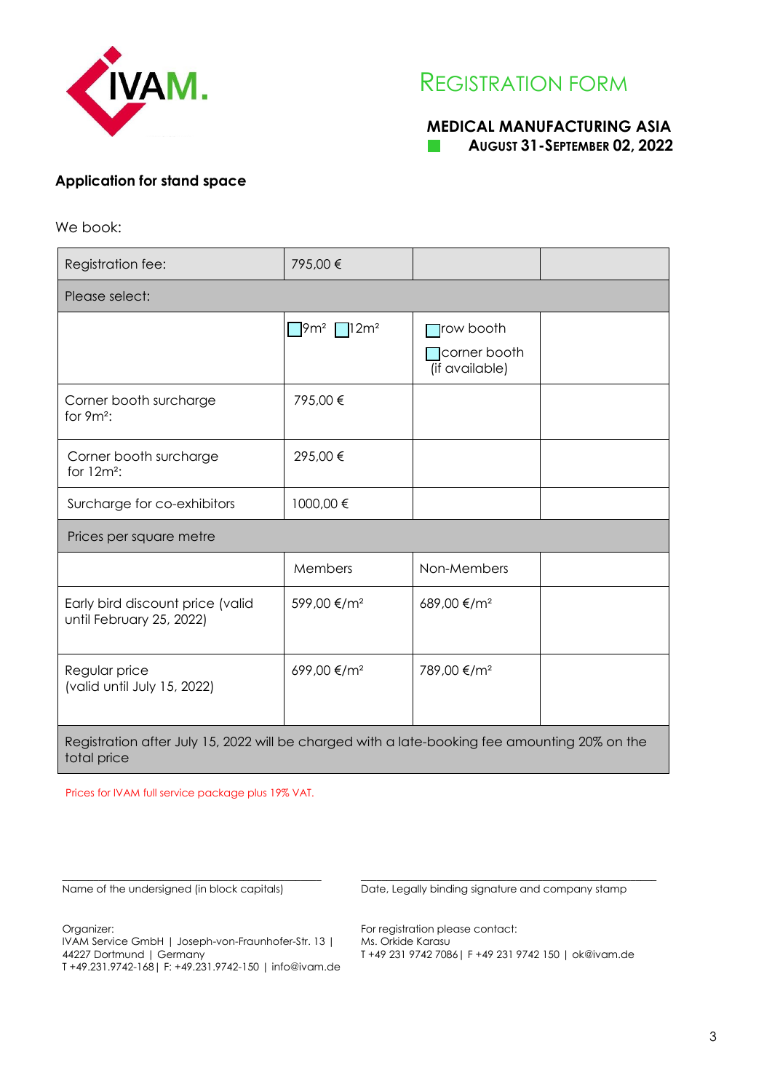

## REGISTRATION FORM

### **MEDICAL MANUFACTURING ASIA AUGUST 31-SEPTEMBER 02, 2022**

### **Application for stand space**

We book:

| Registration fee:                                                                             | 795,00 €                 |                                       |  |  |  |
|-----------------------------------------------------------------------------------------------|--------------------------|---------------------------------------|--|--|--|
| Please select:                                                                                |                          |                                       |  |  |  |
|                                                                                               | $79m^2$ 12m <sup>2</sup> | $\Box$ row booth                      |  |  |  |
|                                                                                               |                          | <b>Corner booth</b><br>(if available) |  |  |  |
| Corner booth surcharge<br>for $9m^2$ :                                                        | 795,00€                  |                                       |  |  |  |
| Corner booth surcharge<br>for $12m^2$ :                                                       | 295,00€                  |                                       |  |  |  |
| Surcharge for co-exhibitors                                                                   | 1000,00€                 |                                       |  |  |  |
| Prices per square metre                                                                       |                          |                                       |  |  |  |
|                                                                                               | Members                  | Non-Members                           |  |  |  |
| Early bird discount price (valid<br>until February 25, 2022)                                  | 599,00 €/m <sup>2</sup>  | 689,00 €/m <sup>2</sup>               |  |  |  |
| Regular price<br>(valid until July 15, 2022)                                                  | 699,00 €/m <sup>2</sup>  | 789,00 €/m <sup>2</sup>               |  |  |  |
| Registration after July 15, 2022 will be charged with a late-booking fee amounting 20% on the |                          |                                       |  |  |  |

total price

Prices for IVAM full service package plus 19% VAT.

\_\_\_\_\_\_\_\_\_\_\_\_\_\_\_\_\_\_\_\_\_\_\_\_\_\_\_\_\_\_\_\_\_\_\_\_\_\_\_\_\_\_\_\_\_\_\_\_\_\_

Name of the undersigned (in block capitals)

Date, Legally binding signature and company stamp

 $\_$  , and the set of the set of the set of the set of the set of the set of the set of the set of the set of the set of the set of the set of the set of the set of the set of the set of the set of the set of the set of th

Organizer:

IVAM Service GmbH | Joseph-von-Fraunhofer-Str. 13 | 44227 Dortmund | Germany T +49.231.9742-168| F: +49.231.9742-150 | info@ivam.de For registration please contact: Ms. Orkide Karasu T +49 231 9742 7086| F +49 231 9742 150 | ok@ivam.de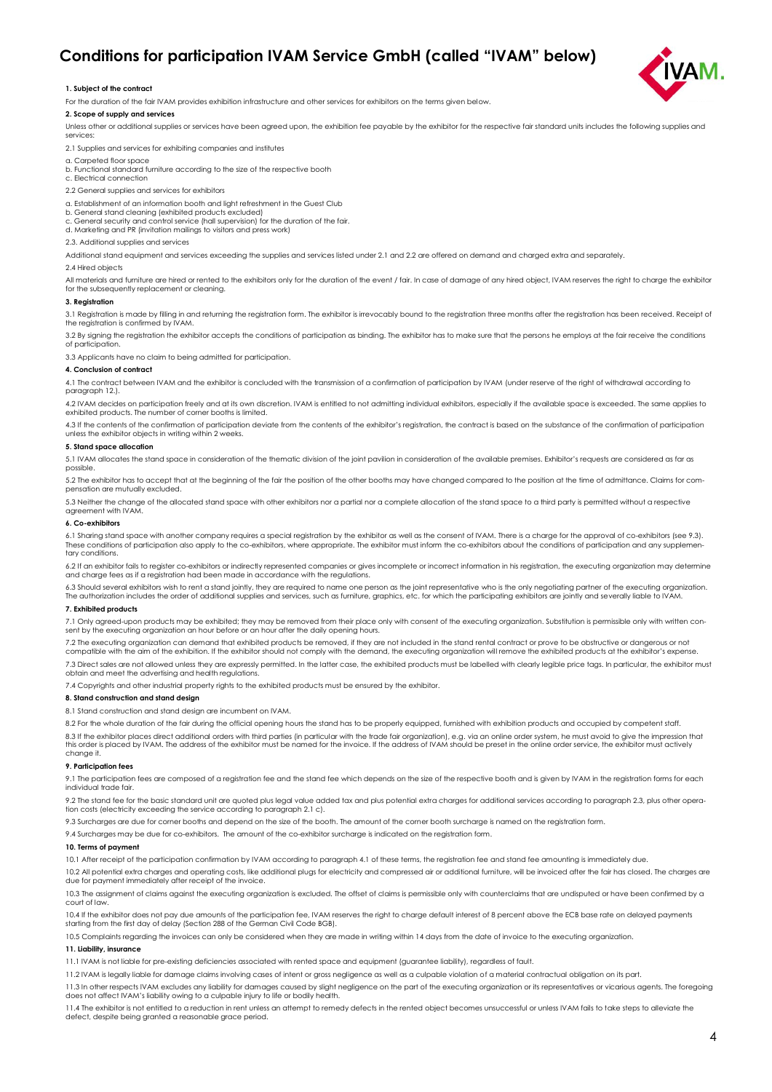### **Conditions for participation IVAM Service GmbH (called "IVAM" below)**



#### **1. Subject of the contract**

For the duration of the fair IVAM provides exhibition infrastructure and other services for exhibitors on the terms given below.

#### **2. Scope of supply and services**

Unless other or additional supplies or services have been agreed upon, the exhibition fee payable by the exhibitor for the respective fair standard units includes the following supplies and services:

2.1 Supplies and services for exhibiting companies and institutes

- a. Carpeted floor space
- b. Functional standard furniture according to the size of the respective booth
- c. Electrical connection
- 2.2 General supplies and services for exhibitors

a. Establishment of an information booth and light refreshment in the Guest Club

- b. General stand cleaning (exhibited products excluded)
- c. General security and control service (hall supervision) for the duration of the fair. d. Marketing and PR (invitation mailings to visitors and press work)
- 2.3. Additional supplies and services

Additional stand equipment and services exceeding the supplies and services listed under 2.1 and 2.2 are offered on demand and charged extra and separately.

#### 2.4 Hired objects

All materials and furniture are hired or rented to the exhibitors only for the duration of the event / fair. In case of damage of any hired object, IVAM reserves the right to charge the exhibitor for the subsequently replacement or cleaning.

#### **3. Registration**

3.1 Registration is made by filling in and returning the registration form. The exhibitor is irrevocably bound to the registration three months after the registration has been received. Receipt of the registration is confirmed by IVAM.

3.2 By signing the registration the exhibitor accepts the conditions of participation as binding. The exhibitor has to make sure that the persons he employs at the fair receive the conditions of participation.

3.3 Applicants have no claim to being admitted for participation.

#### **4. Conclusion of contract**

4.1 The contract between IVAM and the exhibitor is concluded with the transmission of a confirmation of participation by IVAM (under reserve of the right of withdrawal according to paragraph 12.).

4.2 IVAM decides on participation freely and at its own discretion. IVAM is entitled to not admitting individual exhibitors, especially if the available space is exceeded. The same applies to exhibited products. The number of corner booths is limited.

4.3 If the contents of the confirmation of participation deviate from the contents of the exhibitor's registration, the contract is based on the substance of the confirmation of participation unless the exhibitor objects in writing within 2 weeks.

#### **5. Stand space allocation**

5.1 IVAM allocates the stand space in consideration of the thematic division of the joint pavilion in consideration of the available premises. Exhibitor's requests are considered as far as possible.

5.2 The exhibitor has to accept that at the beginning of the fair the position of the other booths may have changed compared to the position at the time of admittance. Claims for compensation are mutually excluded.

5.3 Neither the change of the allocated stand space with other exhibitors nor a partial nor a complete allocation of the stand space to a third party is permitted without a respective agreement with IVAM.

### **6. Co-exhibitors**

6.1 Sharing stand space with another company requires a special registration by the exhibitor as well as the consent of IVAM. There is a charge for the approval of co-exhibitors (see 9.3). These conditions of participation also apply to the co-exhibitors, where appropriate. The exhibitor must inform the co-exhibitors about the conditions of participation and any supplementary conditions.

6.2 If an exhibitor fails to register co-exhibitors or indirectly represented companies or gives incomplete or incorrect information in his registration, the executing organization may determine and charge fees as if a registration had been made in accordance with the regulations.

6.3 Should several exhibitors wish to rent a stand jointly, they are required to name one person as the joint representative who is the only negotiating partner of the executing organization. The authorization includes the order of additional supplies and services, such as furniture, graphics, etc. for which the participating exhibitors are jointly and severally liable to IVAM.

#### **7. Exhibited products**

7.1 Only agreed-upon products may be exhibited; they may be removed from their place only with consent of the executing organization. Substitution is permissible only with written con-<br>sent by the executing organization an

7.2 The executing organization can demand that exhibited products be removed, if they are not included in the stand rental contract or prove to be obstructive or dangerous or not<br>compatible with the aim of the exhibition.

7.3 Direct sales are not allowed unless they are expressly permitted. In the latter case, the exhibited products must be labelled with clearly legible price tags. In particular, the exhibitor must obtain and meet the advertising and health regulations.

7.4 Copyrights and other industrial property rights to the exhibited products must be ensured by the exhibitor.

#### **8. Stand construction and stand design**

8.1 Stand construction and stand design are incumbent on IVAM.

8.2 For the whole duration of the fair during the official opening hours the stand has to be properly equipped, furnished with exhibition products and occupied by competent staff.

8.3 If the exhibitor places direct additional orders with third parties (in particular with the trade fair organization), e.g. via an online order system, he must avoid to give the impression that this order is placed by IVAM. The address of the exhibitor must be named for the invoice. If the address of IVAM should be preset in the online order service, the exhibitor must actively change it.

#### **9. Participation fees**

9.1 The participation fees are composed of a registration fee and the stand fee which depends on the size of the respective booth and is given by IVAM in the registration forms for each individual trade fair.

9.2 The stand fee for the basic standard unit are quoted plus legal value added tax and plus potential extra charges for additional services according to paragraph 2.3, plus other operation costs (electricity exceeding the service according to paragraph 2.1 c).

9.3 Surcharges are due for corner booths and depend on the size of the booth. The amount of the corner booth surcharge is named on the registration form

9.4 Surcharges may be due for co-exhibitors. The amount of the co-exhibitor surcharge is indicated on the registration form.

#### **10. Terms of payment**

10.1 After receipt of the participation confirmation by IVAM according to paragraph 4.1 of these terms, the registration fee and stand fee amounting is immediately due.

10.2 All potential extra charges and operating costs, like additional plugs for electricity and compressed air or additional furniture, will be invoiced after the fair has closed. The charges are due for payment immediately after receipt of the invoice.

10.3 The assignment of claims against the executing organization is excluded. The offset of claims is permissible only with counterclaims that are undisputed or have been confirmed by a court of law.

10.4 If the exhibitor does not pay due amounts of the participation fee, IVAM reserves the right to charge default interest of 8 percent above the ECB base rate on delayed payments starting from the first day of delay (Section 288 of the German Civil Code BGB).

10.5 Complaints regarding the invoices can only be considered when they are made in writing within 14 days from the date of invoice to the executing organization.

#### **11. Liability, insurance**

11.1 IVAM is not liable for pre-existing deficiencies associated with rented space and equipment (guarantee liability), regardless of fault.

11.2 IVAM is legally liable for damage claims involving cases of intent or gross negligence as well as a culpable violation of a material contractual obligation on its part.

11.3 In other respects IVAM excludes any liability for damages caused by slight negligence on the part of the executing organization or its representatives or vicarious agents. The foregoing does not affect IVAM's liability owing to a culpable injury to life or bodily health.

11.4 The exhibitor is not entitled to a reduction in rent unless an attempt to remedy defects in the rented object becomes unsuccessful or unless IVAM fails to take steps to alleviate the defect, despite being granted a reasonable grace period.